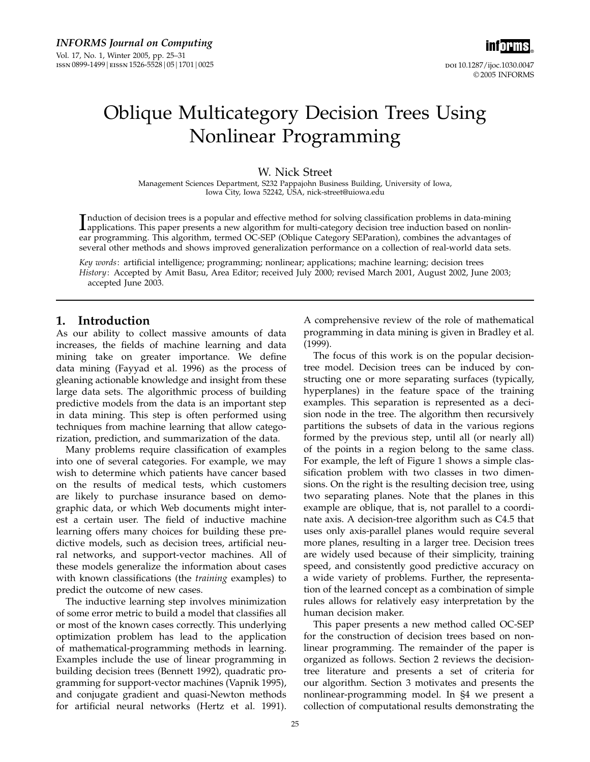inf<mark>orms</mark>。 doi 10.1287/ijoc.1030.0047 © 2005 INFORMS

# Oblique Multicategory Decision Trees Using Nonlinear Programming

W. Nick Street

Management Sciences Department, S232 Pappajohn Business Building, University of Iowa, Iowa City, Iowa 52242, USA, nick-street@uiowa.edu

Induction of decision trees is a popular and effective method for solving classification problems in data-mining<br>applications. This paper presents a new algorithm for multi-category decision tree induction based on nonlinapplications. This paper presents a new algorithm for multi-category decision tree induction based on nonlinear programming. This algorithm, termed OC-SEP (Oblique Category SEParation), combines the advantages of several other methods and shows improved generalization performance on a collection of real-world data sets.

Key words: artificial intelligence; programming; nonlinear; applications; machine learning; decision trees History: Accepted by Amit Basu, Area Editor; received July 2000; revised March 2001, August 2002, June 2003; accepted June 2003.

## 1. Introduction

As our ability to collect massive amounts of data increases, the fields of machine learning and data mining take on greater importance. We define data mining (Fayyad et al. 1996) as the process of gleaning actionable knowledge and insight from these large data sets. The algorithmic process of building predictive models from the data is an important step in data mining. This step is often performed using techniques from machine learning that allow categorization, prediction, and summarization of the data.

Many problems require classification of examples into one of several categories. For example, we may wish to determine which patients have cancer based on the results of medical tests, which customers are likely to purchase insurance based on demographic data, or which Web documents might interest a certain user. The field of inductive machine learning offers many choices for building these predictive models, such as decision trees, artificial neural networks, and support-vector machines. All of these models generalize the information about cases with known classifications (the training examples) to predict the outcome of new cases.

The inductive learning step involves minimization of some error metric to build a model that classifies all or most of the known cases correctly. This underlying optimization problem has lead to the application of mathematical-programming methods in learning. Examples include the use of linear programming in building decision trees (Bennett 1992), quadratic programming for support-vector machines (Vapnik 1995), and conjugate gradient and quasi-Newton methods for artificial neural networks (Hertz et al. 1991).

A comprehensive review of the role of mathematical programming in data mining is given in Bradley et al. (1999).

The focus of this work is on the popular decisiontree model. Decision trees can be induced by constructing one or more separating surfaces (typically, hyperplanes) in the feature space of the training examples. This separation is represented as a decision node in the tree. The algorithm then recursively partitions the subsets of data in the various regions formed by the previous step, until all (or nearly all) of the points in a region belong to the same class. For example, the left of Figure 1 shows a simple classification problem with two classes in two dimensions. On the right is the resulting decision tree, using two separating planes. Note that the planes in this example are oblique, that is, not parallel to a coordinate axis. A decision-tree algorithm such as C4.5 that uses only axis-parallel planes would require several more planes, resulting in a larger tree. Decision trees are widely used because of their simplicity, training speed, and consistently good predictive accuracy on a wide variety of problems. Further, the representation of the learned concept as a combination of simple rules allows for relatively easy interpretation by the human decision maker.

This paper presents a new method called OC-SEP for the construction of decision trees based on nonlinear programming. The remainder of the paper is organized as follows. Section 2 reviews the decisiontree literature and presents a set of criteria for our algorithm. Section 3 motivates and presents the nonlinear-programming model. In §4 we present a collection of computational results demonstrating the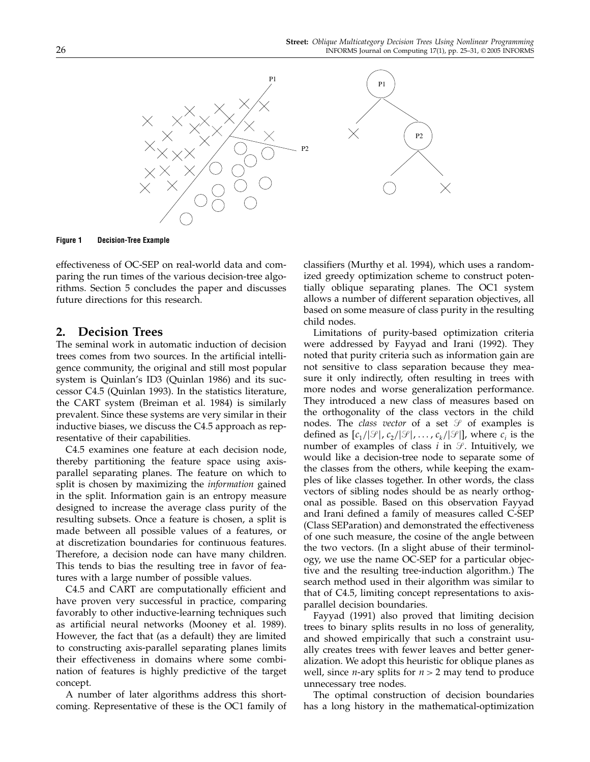

Figure 1 Decision-Tree Example

effectiveness of OC-SEP on real-world data and comparing the run times of the various decision-tree algorithms. Section 5 concludes the paper and discusses future directions for this research.

## 2. Decision Trees

The seminal work in automatic induction of decision trees comes from two sources. In the artificial intelligence community, the original and still most popular system is Quinlan's ID3 (Quinlan 1986) and its successor C4.5 (Quinlan 1993). In the statistics literature, the CART system (Breiman et al. 1984) is similarly prevalent. Since these systems are very similar in their inductive biases, we discuss the C4.5 approach as representative of their capabilities.

C4.5 examines one feature at each decision node, thereby partitioning the feature space using axisparallel separating planes. The feature on which to split is chosen by maximizing the *information* gained in the split. Information gain is an entropy measure designed to increase the average class purity of the resulting subsets. Once a feature is chosen, a split is made between all possible values of a features, or at discretization boundaries for continuous features. Therefore, a decision node can have many children. This tends to bias the resulting tree in favor of features with a large number of possible values.

C4.5 and CART are computationally efficient and have proven very successful in practice, comparing favorably to other inductive-learning techniques such as artificial neural networks (Mooney et al. 1989). However, the fact that (as a default) they are limited to constructing axis-parallel separating planes limits their effectiveness in domains where some combination of features is highly predictive of the target concept.

A number of later algorithms address this shortcoming. Representative of these is the OC1 family of classifiers (Murthy et al. 1994), which uses a randomized greedy optimization scheme to construct potentially oblique separating planes. The OC1 system allows a number of different separation objectives, all based on some measure of class purity in the resulting child nodes.

Limitations of purity-based optimization criteria were addressed by Fayyad and Irani (1992). They noted that purity criteria such as information gain are not sensitive to class separation because they measure it only indirectly, often resulting in trees with more nodes and worse generalization performance. They introduced a new class of measures based on the orthogonality of the class vectors in the child nodes. The *class vector* of a set  $\mathcal{S}$  of examples is defined as  $[c_1/|\mathcal{S}|, c_2/|\mathcal{S}|, ..., c_k/|\mathcal{S}|]$ , where  $c_i$  is the number of examples of class  $i$  in  $\mathcal{S}$ . Intuitively, we would like a decision-tree node to separate some of the classes from the others, while keeping the examples of like classes together. In other words, the class vectors of sibling nodes should be as nearly orthogonal as possible. Based on this observation Fayyad and Irani defined a family of measures called C-SEP (Class SEParation) and demonstrated the effectiveness of one such measure, the cosine of the angle between the two vectors. (In a slight abuse of their terminology, we use the name OC-SEP for a particular objective and the resulting tree-induction algorithm.) The search method used in their algorithm was similar to that of C4.5, limiting concept representations to axisparallel decision boundaries.

Fayyad (1991) also proved that limiting decision trees to binary splits results in no loss of generality, and showed empirically that such a constraint usually creates trees with fewer leaves and better generalization. We adopt this heuristic for oblique planes as well, since *n*-ary splits for  $n > 2$  may tend to produce unnecessary tree nodes.

The optimal construction of decision boundaries has a long history in the mathematical-optimization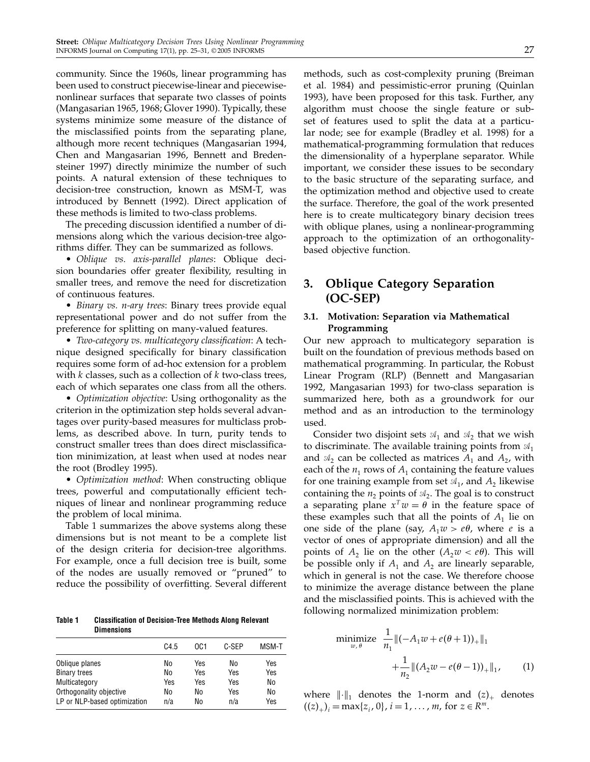community. Since the 1960s, linear programming has been used to construct piecewise-linear and piecewisenonlinear surfaces that separate two classes of points (Mangasarian 1965, 1968; Glover 1990). Typically, these systems minimize some measure of the distance of the misclassified points from the separating plane, although more recent techniques (Mangasarian 1994, Chen and Mangasarian 1996, Bennett and Bredensteiner 1997) directly minimize the number of such points. A natural extension of these techniques to decision-tree construction, known as MSM-T, was introduced by Bennett (1992). Direct application of these methods is limited to two-class problems.

The preceding discussion identified a number of dimensions along which the various decision-tree algorithms differ. They can be summarized as follows.

• Oblique vs. axis-parallel planes: Oblique decision boundaries offer greater flexibility, resulting in smaller trees, and remove the need for discretization of continuous features.

• Binary vs. n-ary trees: Binary trees provide equal representational power and do not suffer from the preference for splitting on many-valued features.

• Two-category vs. multicategory classification: A technique designed specifically for binary classification requires some form of ad-hoc extension for a problem with  $k$  classes, such as a collection of  $k$  two-class trees, each of which separates one class from all the others.

• Optimization objective: Using orthogonality as the criterion in the optimization step holds several advantages over purity-based measures for multiclass problems, as described above. In turn, purity tends to construct smaller trees than does direct misclassification minimization, at least when used at nodes near the root (Brodley 1995).

• *Optimization method*: When constructing oblique trees, powerful and computationally efficient techniques of linear and nonlinear programming reduce the problem of local minima.

Table 1 summarizes the above systems along these dimensions but is not meant to be a complete list of the design criteria for decision-tree algorithms. For example, once a full decision tree is built, some of the nodes are usually removed or "pruned" to reduce the possibility of overfitting. Several different

Table 1 Classification of Decision-Tree Methods Along Relevant **Dimensions** 

|                              | C4.5 | OC1 | C-SEP | MSM-T |
|------------------------------|------|-----|-------|-------|
| Oblique planes               | No   | Yes | No    | Yes   |
| <b>Binary trees</b>          | No   | Yes | Yes   | Yes   |
| Multicategory                | Yes  | Yes | Yes   | No    |
| Orthogonality objective      | No   | No  | Yes   | No    |
| LP or NLP-based optimization | n/a  | No  | n/a   | Yes   |

methods, such as cost-complexity pruning (Breiman et al. 1984) and pessimistic-error pruning (Quinlan 1993), have been proposed for this task. Further, any algorithm must choose the single feature or subset of features used to split the data at a particular node; see for example (Bradley et al. 1998) for a mathematical-programming formulation that reduces the dimensionality of a hyperplane separator. While important, we consider these issues to be secondary to the basic structure of the separating surface, and the optimization method and objective used to create the surface. Therefore, the goal of the work presented here is to create multicategory binary decision trees with oblique planes, using a nonlinear-programming approach to the optimization of an orthogonalitybased objective function.

# 3. Oblique Category Separation (OC-SEP)

## 3.1. Motivation: Separation via Mathematical Programming

Our new approach to multicategory separation is built on the foundation of previous methods based on mathematical programming. In particular, the Robust Linear Program (RLP) (Bennett and Mangasarian 1992, Mangasarian 1993) for two-class separation is summarized here, both as a groundwork for our method and as an introduction to the terminology used.

Consider two disjoint sets  $\mathfrak{A}_1$  and  $\mathfrak{A}_2$  that we wish to discriminate. The available training points from  $\mathfrak{A}_{1}$ and  $\mathcal{A}_2$  can be collected as matrices  $A_1$  and  $A_2$ , with each of the  $n_1$  rows of  $A_1$  containing the feature values for one training example from set  $\mathcal{A}_1$ , and  $A_2$  likewise containing the  $n_2$  points of  $\mathcal{A}_2$ . The goal is to construct a separating plane  $x^T w = \theta$  in the feature space of these examples such that all the points of  $A_1$  lie on one side of the plane (say,  $A_1w > e\theta$ , where *e* is a vector of ones of appropriate dimension) and all the points of  $A_2$  lie on the other  $(A_2w < e\theta)$ . This will be possible only if  $A_1$  and  $A_2$  are linearly separable, which in general is not the case. We therefore choose to minimize the average distance between the plane and the misclassified points. This is achieved with the following normalized minimization problem:

minimize 
$$
\frac{1}{n_1} ||(-A_1 w + e(\theta + 1))_+||_1
$$
  
  $+ \frac{1}{n_2} ||(A_2 w - e(\theta - 1))_+||_1,$  (1)

where  $\|\cdot\|_1$  denotes the 1-norm and  $(z)_+$  denotes  $((z)_+)_i = \max\{z_i, 0\}, i = 1, \ldots, m$ , for  $z \in \mathbb{R}^m$ .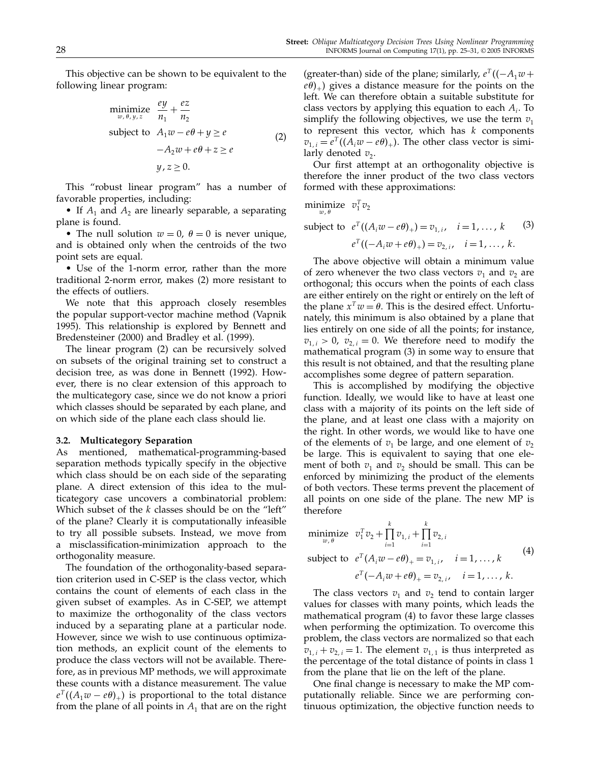This objective can be shown to be equivalent to the following linear program:

$$
\begin{array}{ll}\n\text{minimize} & \frac{ey}{n_1} + \frac{ez}{n_2} \\
\text{subject to} & A_1 w - e\theta + y \ge e \\
& \quad -A_2 w + e\theta + z \ge e \\
& \quad y, z \ge 0.\n\end{array} \tag{2}
$$

This "robust linear program" has a number of favorable properties, including:

• If  $A_1$  and  $A_2$  are linearly separable, a separating plane is found.

• The null solution  $w = 0$ ,  $\theta = 0$  is never unique, and is obtained only when the centroids of the two point sets are equal.

• Use of the 1-norm error, rather than the more traditional 2-norm error, makes (2) more resistant to the effects of outliers.

We note that this approach closely resembles the popular support-vector machine method (Vapnik 1995). This relationship is explored by Bennett and Bredensteiner (2000) and Bradley et al. (1999).

The linear program (2) can be recursively solved on subsets of the original training set to construct a decision tree, as was done in Bennett (1992). However, there is no clear extension of this approach to the multicategory case, since we do not know a priori which classes should be separated by each plane, and on which side of the plane each class should lie.

#### 3.2. Multicategory Separation

As mentioned, mathematical-programming-based separation methods typically specify in the objective which class should be on each side of the separating plane. A direct extension of this idea to the multicategory case uncovers a combinatorial problem: Which subset of the  $k$  classes should be on the "left" of the plane? Clearly it is computationally infeasible to try all possible subsets. Instead, we move from a misclassification-minimization approach to the orthogonality measure.

The foundation of the orthogonality-based separation criterion used in C-SEP is the class vector, which contains the count of elements of each class in the given subset of examples. As in C-SEP, we attempt to maximize the orthogonality of the class vectors induced by a separating plane at a particular node. However, since we wish to use continuous optimization methods, an explicit count of the elements to produce the class vectors will not be available. Therefore, as in previous MP methods, we will approximate these counts with a distance measurement. The value  $e^{T}((A_1w-e\theta)_+)$  is proportional to the total distance from the plane of all points in  $A_1$  that are on the right

(greater-than) side of the plane; similarly,  $e^{T}((-A_1w +$  $(e\theta)_+$ ) gives a distance measure for the points on the left. We can therefore obtain a suitable substitute for class vectors by applying this equation to each  $A_i$ . To simplify the following objectives, we use the term  $v_1$ to represent this vector, which has  $k$  components  $v_{1,i} = e^T((A_i w - e\theta)_+)$ . The other class vector is similarly denoted  $v_2$ .

Our first attempt at an orthogonality objective is therefore the inner product of the two class vectors formed with these approximations:

$$
\underset{w,\,\theta}{\text{minimize}} \quad v_1^T v_2
$$

subject to 
$$
e^T((A_iw - e\theta)_+) = v_{1,i}, \quad i = 1, ..., k
$$
 (3)  
 $e^T((-A_iw + e\theta)_+) = v_{2,i}, \quad i = 1, ..., k.$ 

The above objective will obtain a minimum value of zero whenever the two class vectors  $v_1$  and  $v_2$  are orthogonal; this occurs when the points of each class are either entirely on the right or entirely on the left of the plane  $x^T w = \theta$ . This is the desired effect. Unfortunately, this minimum is also obtained by a plane that lies entirely on one side of all the points; for instance,  $v_{1,i} > 0$ ,  $v_{2,i} = 0$ . We therefore need to modify the mathematical program (3) in some way to ensure that this result is not obtained, and that the resulting plane accomplishes some degree of pattern separation.

This is accomplished by modifying the objective function. Ideally, we would like to have at least one class with a majority of its points on the left side of the plane, and at least one class with a majority on the right. In other words, we would like to have one of the elements of  $v_1$  be large, and one element of  $v_2$ be large. This is equivalent to saying that one element of both  $v_1$  and  $v_2$  should be small. This can be enforced by minimizing the product of the elements of both vectors. These terms prevent the placement of all points on one side of the plane. The new MP is therefore

minimize 
$$
v_1^T v_2 + \prod_{i=1}^k v_{1,i} + \prod_{i=1}^k v_{2,i}
$$
  
\nsubject to  $e^T (A_i w - e\theta)_+ = v_{1,i}, \quad i = 1, ..., k$   
\n $e^T (-A_i w + e\theta)_+ = v_{2,i}, \quad i = 1, ..., k.$  (4)

The class vectors  $v_1$  and  $v_2$  tend to contain larger values for classes with many points, which leads the mathematical program (4) to favor these large classes when performing the optimization. To overcome this problem, the class vectors are normalized so that each  $v_{1,i} + v_{2,i} = 1$ . The element  $v_{1,1}$  is thus interpreted as the percentage of the total distance of points in class 1 from the plane that lie on the left of the plane.

One final change is necessary to make the MP computationally reliable. Since we are performing continuous optimization, the objective function needs to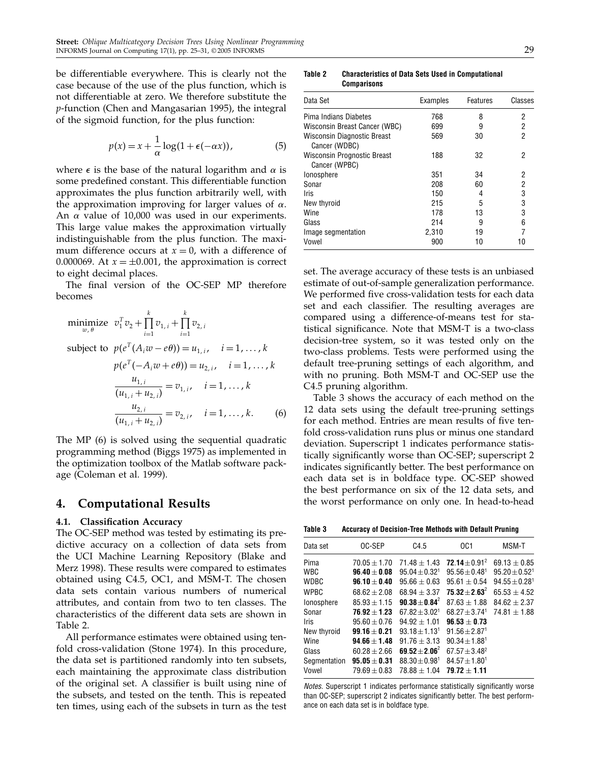be differentiable everywhere. This is clearly not the case because of the use of the plus function, which is not differentiable at zero. We therefore substitute the p-function (Chen and Mangasarian 1995), the integral of the sigmoid function, for the plus function:

$$
p(x) = x + \frac{1}{\alpha} \log(1 + \epsilon(-\alpha x)),
$$
 (5)

where  $\epsilon$  is the base of the natural logarithm and  $\alpha$  is some predefined constant. This differentiable function approximates the plus function arbitrarily well, with the approximation improving for larger values of  $\alpha$ . An  $\alpha$  value of 10,000 was used in our experiments. This large value makes the approximation virtually indistinguishable from the plus function. The maximum difference occurs at  $x = 0$ , with a difference of 0.000069. At  $x = \pm 0.001$ , the approximation is correct to eight decimal places.

The final version of the OC-SEP MP therefore becomes

minimize 
$$
v_1^T v_2 + \prod_{i=1}^k v_{1,i} + \prod_{i=1}^k v_{2,i}
$$
  
\nsubject to  $p(e^T(A_i w - e\theta)) = u_{1,i}, \quad i = 1, ..., k$   
\n $p(e^T(-A_i w + e\theta)) = u_{2,i}, \quad i = 1, ..., k$   
\n
$$
\frac{u_{1,i}}{(u_{1,i} + u_{2,i})} = v_{1,i}, \quad i = 1, ..., k
$$
  
\n
$$
\frac{u_{2,i}}{(u_{1,i} + u_{2,i})} = v_{2,i}, \quad i = 1, ..., k.
$$
 (6)

The MP (6) is solved using the sequential quadratic programming method (Biggs 1975) as implemented in the optimization toolbox of the Matlab software package (Coleman et al. 1999).

## 4. Computational Results

## 4.1. Classification Accuracy

The OC-SEP method was tested by estimating its predictive accuracy on a collection of data sets from the UCI Machine Learning Repository (Blake and Merz 1998). These results were compared to estimates obtained using C4.5, OC1, and MSM-T. The chosen data sets contain various numbers of numerical attributes, and contain from two to ten classes. The characteristics of the different data sets are shown in Table 2.

All performance estimates were obtained using tenfold cross-validation (Stone 1974). In this procedure, the data set is partitioned randomly into ten subsets, each maintaining the approximate class distribution of the original set. A classifier is built using nine of the subsets, and tested on the tenth. This is repeated ten times, using each of the subsets in turn as the test

Table 2 Characteristics of Data Sets Used in Computational **Comparisons** 

| Data Set                                            | Examples | Features | Classes |  |
|-----------------------------------------------------|----------|----------|---------|--|
| Pima Indians Diabetes                               | 768      | 8        | 2       |  |
| Wisconsin Breast Cancer (WBC)                       | 699      | 9        | 2       |  |
| Wisconsin Diagnostic Breast<br>Cancer (WDBC)        | 569      | 30       | 2       |  |
| <b>Wisconsin Prognostic Breast</b><br>Cancer (WPBC) | 188      | 32       | 2       |  |
| lonosphere                                          | 351      | 34       | 2       |  |
| Sonar                                               | 208      | 60       | 2       |  |
| <b>Iris</b>                                         | 150      | 4        | 3       |  |
| New thyroid                                         | 215      | 5        | 3       |  |
| Wine                                                | 178      | 13       | 3       |  |
| Glass                                               | 214      | 9        | հ       |  |
| Image segmentation                                  | 2,310    | 19       |         |  |
| Vowel                                               | 900      | 10       | 10      |  |

set. The average accuracy of these tests is an unbiased estimate of out-of-sample generalization performance. We performed five cross-validation tests for each data set and each classifier. The resulting averages are compared using a difference-of-means test for statistical significance. Note that MSM-T is a two-class decision-tree system, so it was tested only on the two-class problems. Tests were performed using the default tree-pruning settings of each algorithm, and with no pruning. Both MSM-T and OC-SEP use the C4.5 pruning algorithm.

Table 3 shows the accuracy of each method on the 12 data sets using the default tree-pruning settings for each method. Entries are mean results of five tenfold cross-validation runs plus or minus one standard deviation. Superscript 1 indicates performance statistically significantly worse than OC-SEP; superscript 2 indicates significantly better. The best performance on each data set is in boldface type. OC-SEP showed the best performance on six of the 12 data sets, and the worst performance on only one. In head-to-head

Table 3 Accuracy of Decision-Tree Methods with Default Pruning

| Data set     | OC-SEP           | C4.5             | OC <sub>1</sub>               | MSM-T                         |
|--------------|------------------|------------------|-------------------------------|-------------------------------|
| Pima         | $70.05 + 1.70$   | $71.48 + 1.43$   | 72.14 + $0.91^2$              | $69.13 + 0.85$                |
| <b>WBC</b>   | $96.40 + 0.08$   | $95.04 + 0.321$  | $95.56 + 0.48$ <sup>1</sup>   | $95.20 + 0.521$               |
| <b>WDBC</b>  | $96.10 \pm 0.40$ | $95.66 \pm 0.63$ | $95.61 + 0.54$                | $94.55 \pm 0.28$ <sup>1</sup> |
| <b>WPBC</b>  | $68.62 + 2.08$   | $68.94 + 3.37$   | $75.32 + 2.63^2$              | $65.53 \pm 4.52$              |
| lonosphere   | $85.93 + 1.15$   | $90.38 + 0.84^2$ | $87.63 \pm 1.88$              | $84.62 + 2.37$                |
| Sonar        | $76.92 + 1.23$   | $67.82 + 3.021$  | $68.27 \pm 3.74$ <sup>1</sup> | $74.81 \pm 1.88$              |
| <b>Iris</b>  | $95.60 + 0.76$   | $94.92 + 1.01$   | $96.53 \pm 0.73$              |                               |
| New thyroid  | $99.16 + 0.21$   | $93.18 + 1.131$  | $91.56 + 2.87^1$              |                               |
| Wine         | $94.66 + 1.48$   | $91.76 \pm 3.13$ | $90.34 + 1.881$               |                               |
| Glass        | $60.28 + 2.66$   | $69.52 + 2.06^2$ | $67.57 + 3.48^2$              |                               |
| Segmentation | $95.05 + 0.31$   | $88.30 + 0.981$  | $84.57 \pm 1.80^1$            |                               |
| Vowel        | $79.69 + 0.83$   | $78.88 \pm 1.04$ | $79.72 \pm 1.11$              |                               |
|              |                  |                  |                               |                               |

Notes. Superscript 1 indicates performance statistically significantly worse than OC-SEP; superscript 2 indicates significantly better. The best performance on each data set is in boldface type.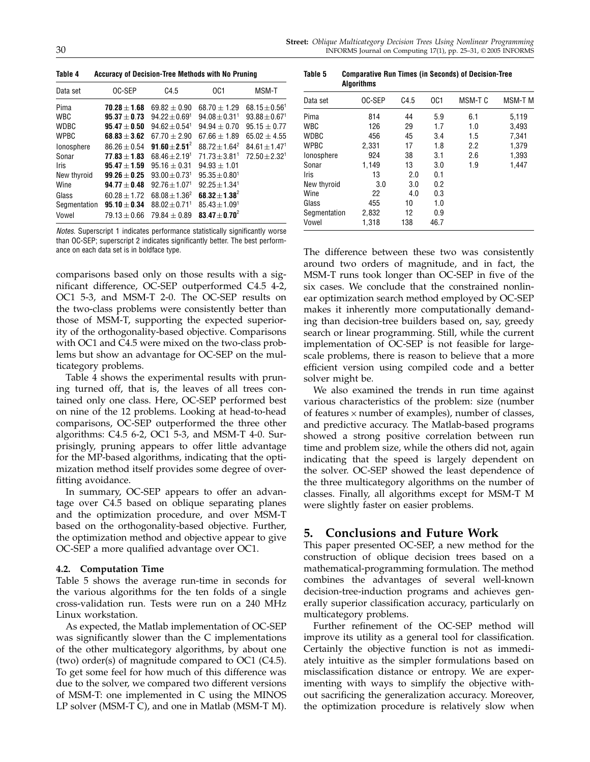Table 4 Accuracy of Decision-Tree Methods with No Pruning

| Data set     | OC-SEP           | C4.5                        | OC1                         | MSM-T              |
|--------------|------------------|-----------------------------|-----------------------------|--------------------|
| Pima         | $70.28 + 1.68$   | $69.82 + 0.90$              | $68.70 + 1.29$              | $68.15 \pm 0.56^1$ |
| <b>WBC</b>   | $95.37 + 0.73$   | $94.22 + 0.691$             | $94.08 + 0.31$ <sup>1</sup> | $93.88 + 0.671$    |
| <b>WDBC</b>  | $95.47 \pm 0.50$ | $94.62 + 0.54$ <sup>1</sup> | $94.94 + 0.70$              | $95.15 \pm 0.77$   |
| <b>WPBC</b>  | $68.83 + 3.62$   | $67.70 + 2.90$              | $67.66 + 1.89$              | $65.02 \pm 4.55$   |
| lonosphere   | $86.26 + 0.54$   | $91.60 + 2.51^2$            | $88.72 + 1.64^2$            | $84.61 + 1.471$    |
| Sonar        | $77.83 + 1.83$   | $68.46 + 2.191$             | $71.73 + 3.811$             | $72.50 + 2.321$    |
| <b>Iris</b>  | $95.47 + 1.59$   | $95.16 + 0.31$              | $94.93 \pm 1.01$            |                    |
| New thyroid  | $99.26 + 0.25$   | $93.00 + 0.731$             | $95.35 + 0.801$             |                    |
| Wine         | $94.77 + 0.48$   | $92.76 + 1.071$             | $92.25 + 1.34$ <sup>1</sup> |                    |
| Glass        | $60.28 + 1.72$   | $68.08 + 1.36^2$            | $68.32 + 1.38^2$            |                    |
| Segmentation | $95.10 + 0.34$   | $88.02 + 0.71$ <sup>1</sup> | $85.43 + 1.091$             |                    |
| Vowel        | $79.13 + 0.66$   | $79.84 + 0.89$              | $83.47 + 0.70^2$            |                    |

Notes. Superscript 1 indicates performance statistically significantly worse than OC-SEP; superscript 2 indicates significantly better. The best performance on each data set is in boldface type.

comparisons based only on those results with a significant difference, OC-SEP outperformed C4.5 4-2, OC1 5-3, and MSM-T 2-0. The OC-SEP results on the two-class problems were consistently better than those of MSM-T, supporting the expected superiority of the orthogonality-based objective. Comparisons with OC1 and C4.5 were mixed on the two-class problems but show an advantage for OC-SEP on the multicategory problems.

Table 4 shows the experimental results with pruning turned off, that is, the leaves of all trees contained only one class. Here, OC-SEP performed best on nine of the 12 problems. Looking at head-to-head comparisons, OC-SEP outperformed the three other algorithms: C4.5 6-2, OC1 5-3, and MSM-T 4-0. Surprisingly, pruning appears to offer little advantage for the MP-based algorithms, indicating that the optimization method itself provides some degree of overfitting avoidance.

In summary, OC-SEP appears to offer an advantage over C4.5 based on oblique separating planes and the optimization procedure, and over MSM-T based on the orthogonality-based objective. Further, the optimization method and objective appear to give OC-SEP a more qualified advantage over OC1.

## 4.2. Computation Time

Table 5 shows the average run-time in seconds for the various algorithms for the ten folds of a single cross-validation run. Tests were run on a 240 MHz Linux workstation.

As expected, the Matlab implementation of OC-SEP was significantly slower than the C implementations of the other multicategory algorithms, by about one (two) order(s) of magnitude compared to OC1 (C4.5). To get some feel for how much of this difference was due to the solver, we compared two different versions of MSM-T: one implemented in C using the MINOS LP solver (MSM-T C), and one in Matlab (MSM-T M).

Table 5 Comparative Run Times (in Seconds) of Decision-Tree **Algorithms** 

| Data set     | OC-SEP | C4.5 | OC1  | MSM-T C | MSM-T M |
|--------------|--------|------|------|---------|---------|
| Pima         | 814    | 44   | 5.9  | 6.1     | 5,119   |
| <b>WBC</b>   | 126    | 29   | 1.7  | 1.0     | 3,493   |
| WDBC         | 456    | 45   | 3.4  | 1.5     | 7,341   |
| <b>WPBC</b>  | 2.331  | 17   | 1.8  | 2.2     | 1,379   |
| lonosphere   | 924    | 38   | 3.1  | 2.6     | 1,393   |
| Sonar        | 1.149  | 13   | 3.0  | 1.9     | 1.447   |
| <b>Iris</b>  | 13     | 2.0  | 0.1  |         |         |
| New thyroid  | 3.0    | 3.0  | 0.2  |         |         |
| Wine         | 22     | 4.0  | 0.3  |         |         |
| Glass        | 455    | 10   | 1.0  |         |         |
| Segmentation | 2,832  | 12   | 0.9  |         |         |
| Vowel        | 1,318  | 138  | 46.7 |         |         |

The difference between these two was consistently around two orders of magnitude, and in fact, the MSM-T runs took longer than OC-SEP in five of the six cases. We conclude that the constrained nonlinear optimization search method employed by OC-SEP makes it inherently more computationally demanding than decision-tree builders based on, say, greedy search or linear programming. Still, while the current implementation of OC-SEP is not feasible for largescale problems, there is reason to believe that a more efficient version using compiled code and a better solver might be.

We also examined the trends in run time against various characteristics of the problem: size (number of features  $\times$  number of examples), number of classes, and predictive accuracy. The Matlab-based programs showed a strong positive correlation between run time and problem size, while the others did not, again indicating that the speed is largely dependent on the solver. OC-SEP showed the least dependence of the three multicategory algorithms on the number of classes. Finally, all algorithms except for MSM-T M were slightly faster on easier problems.

# 5. Conclusions and Future Work

This paper presented OC-SEP, a new method for the construction of oblique decision trees based on a mathematical-programming formulation. The method combines the advantages of several well-known decision-tree-induction programs and achieves generally superior classification accuracy, particularly on multicategory problems.

Further refinement of the OC-SEP method will improve its utility as a general tool for classification. Certainly the objective function is not as immediately intuitive as the simpler formulations based on misclassification distance or entropy. We are experimenting with ways to simplify the objective without sacrificing the generalization accuracy. Moreover, the optimization procedure is relatively slow when